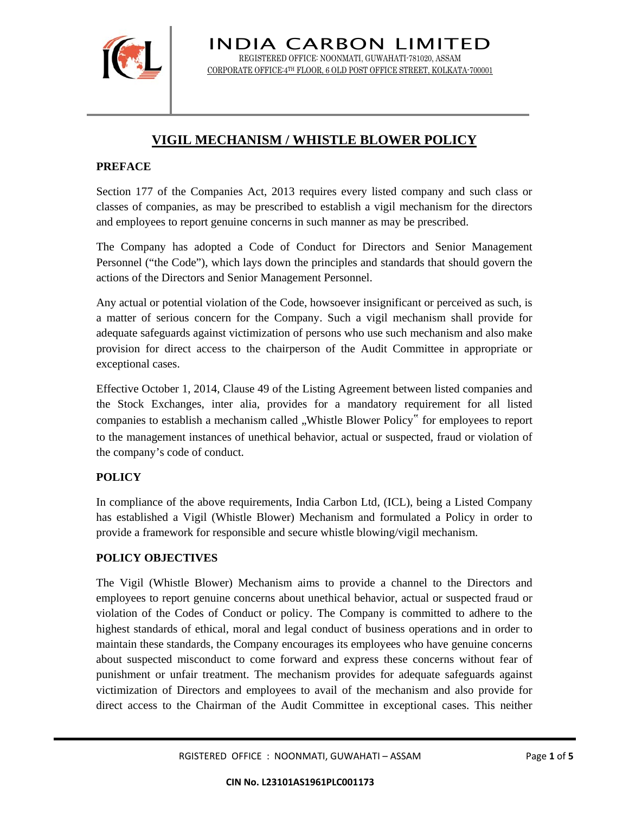

INDIA CARBON LIMITED REGISTERED OFFICE: NOONMATI, GUWAHATI-781020, ASSAM CORPORATE OFFICE:4TH FLOOR, 6 OLD POST OFFICE STREET, KOLKATA-700001

# **VIGIL MECHANISM / WHISTLE BLOWER POLICY**

# **PREFACE**

Section 177 of the Companies Act, 2013 requires every listed company and such class or classes of companies, as may be prescribed to establish a vigil mechanism for the directors and employees to report genuine concerns in such manner as may be prescribed.

The Company has adopted a Code of Conduct for Directors and Senior Management Personnel ("the Code"), which lays down the principles and standards that should govern the actions of the Directors and Senior Management Personnel.

Any actual or potential violation of the Code, howsoever insignificant or perceived as such, is a matter of serious concern for the Company. Such a vigil mechanism shall provide for adequate safeguards against victimization of persons who use such mechanism and also make provision for direct access to the chairperson of the Audit Committee in appropriate or exceptional cases.

Effective October 1, 2014, Clause 49 of the Listing Agreement between listed companies and the Stock Exchanges, inter alia, provides for a mandatory requirement for all listed companies to establish a mechanism called "Whistle Blower Policy" for employees to report to the management instances of unethical behavior, actual or suspected, fraud or violation of the company's code of conduct.

# **POLICY**

In compliance of the above requirements, India Carbon Ltd, (ICL), being a Listed Company has established a Vigil (Whistle Blower) Mechanism and formulated a Policy in order to provide a framework for responsible and secure whistle blowing/vigil mechanism.

# **POLICY OBJECTIVES**

The Vigil (Whistle Blower) Mechanism aims to provide a channel to the Directors and employees to report genuine concerns about unethical behavior, actual or suspected fraud or violation of the Codes of Conduct or policy. The Company is committed to adhere to the highest standards of ethical, moral and legal conduct of business operations and in order to maintain these standards, the Company encourages its employees who have genuine concerns about suspected misconduct to come forward and express these concerns without fear of punishment or unfair treatment. The mechanism provides for adequate safeguards against victimization of Directors and employees to avail of the mechanism and also provide for direct access to the Chairman of the Audit Committee in exceptional cases. This neither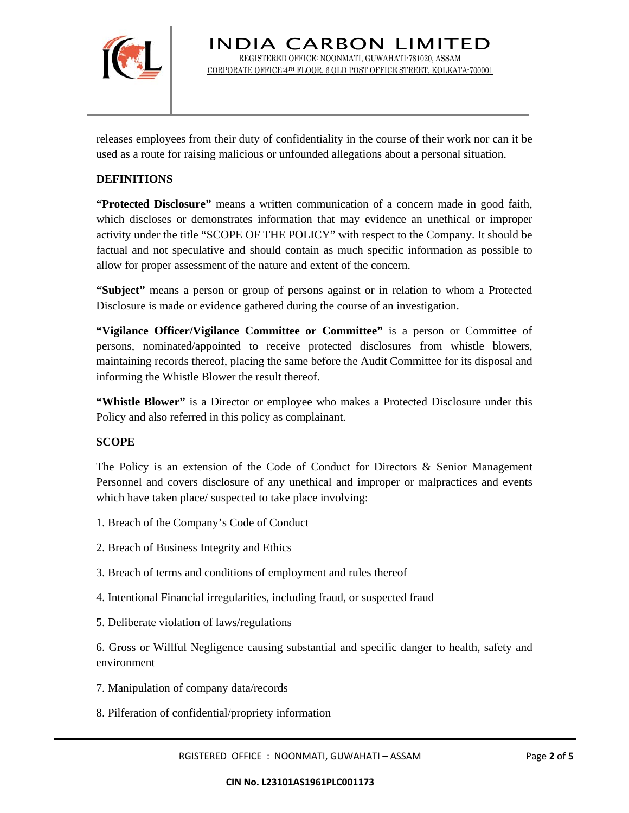

releases employees from their duty of confidentiality in the course of their work nor can it be used as a route for raising malicious or unfounded allegations about a personal situation.

### **DEFINITIONS**

**"Protected Disclosure"** means a written communication of a concern made in good faith, which discloses or demonstrates information that may evidence an unethical or improper activity under the title "SCOPE OF THE POLICY" with respect to the Company. It should be factual and not speculative and should contain as much specific information as possible to allow for proper assessment of the nature and extent of the concern.

**"Subject"** means a person or group of persons against or in relation to whom a Protected Disclosure is made or evidence gathered during the course of an investigation.

**"Vigilance Officer/Vigilance Committee or Committee"** is a person or Committee of persons, nominated/appointed to receive protected disclosures from whistle blowers, maintaining records thereof, placing the same before the Audit Committee for its disposal and informing the Whistle Blower the result thereof.

**"Whistle Blower"** is a Director or employee who makes a Protected Disclosure under this Policy and also referred in this policy as complainant.

#### **SCOPE**

The Policy is an extension of the Code of Conduct for Directors & Senior Management Personnel and covers disclosure of any unethical and improper or malpractices and events which have taken place/ suspected to take place involving:

- 1. Breach of the Company's Code of Conduct
- 2. Breach of Business Integrity and Ethics
- 3. Breach of terms and conditions of employment and rules thereof
- 4. Intentional Financial irregularities, including fraud, or suspected fraud
- 5. Deliberate violation of laws/regulations

6. Gross or Willful Negligence causing substantial and specific danger to health, safety and environment

- 7. Manipulation of company data/records
- 8. Pilferation of confidential/propriety information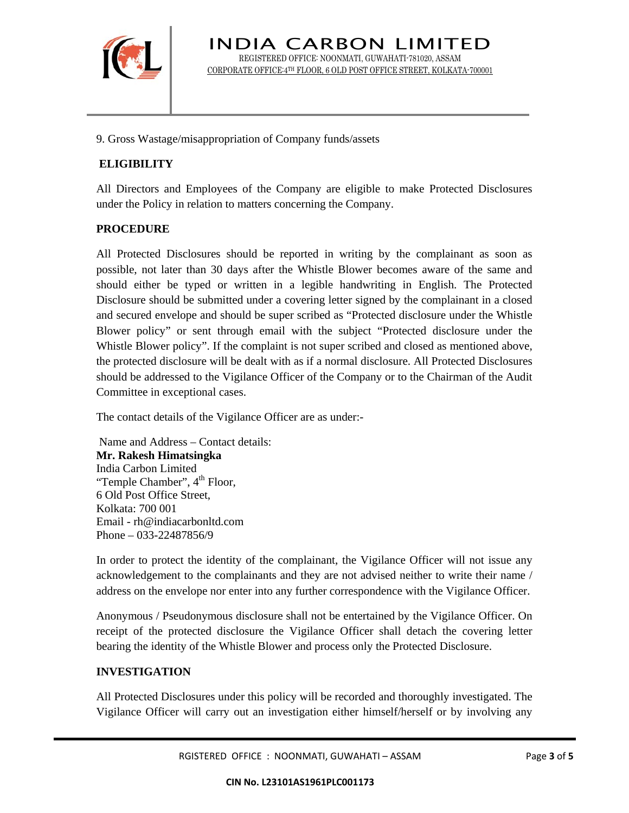

9. Gross Wastage/misappropriation of Company funds/assets

# **ELIGIBILITY**

All Directors and Employees of the Company are eligible to make Protected Disclosures under the Policy in relation to matters concerning the Company.

#### **PROCEDURE**

All Protected Disclosures should be reported in writing by the complainant as soon as possible, not later than 30 days after the Whistle Blower becomes aware of the same and should either be typed or written in a legible handwriting in English. The Protected Disclosure should be submitted under a covering letter signed by the complainant in a closed and secured envelope and should be super scribed as "Protected disclosure under the Whistle Blower policy" or sent through email with the subject "Protected disclosure under the Whistle Blower policy". If the complaint is not super scribed and closed as mentioned above, the protected disclosure will be dealt with as if a normal disclosure. All Protected Disclosures should be addressed to the Vigilance Officer of the Company or to the Chairman of the Audit Committee in exceptional cases.

The contact details of the Vigilance Officer are as under:-

 Name and Address – Contact details: **Mr. Rakesh Himatsingka**  India Carbon Limited "Temple Chamber", 4<sup>th</sup> Floor, 6 Old Post Office Street, Kolkata: 700 001 Email - rh@indiacarbonltd.com Phone – 033-22487856/9

In order to protect the identity of the complainant, the Vigilance Officer will not issue any acknowledgement to the complainants and they are not advised neither to write their name / address on the envelope nor enter into any further correspondence with the Vigilance Officer.

Anonymous / Pseudonymous disclosure shall not be entertained by the Vigilance Officer. On receipt of the protected disclosure the Vigilance Officer shall detach the covering letter bearing the identity of the Whistle Blower and process only the Protected Disclosure.

# **INVESTIGATION**

All Protected Disclosures under this policy will be recorded and thoroughly investigated. The Vigilance Officer will carry out an investigation either himself/herself or by involving any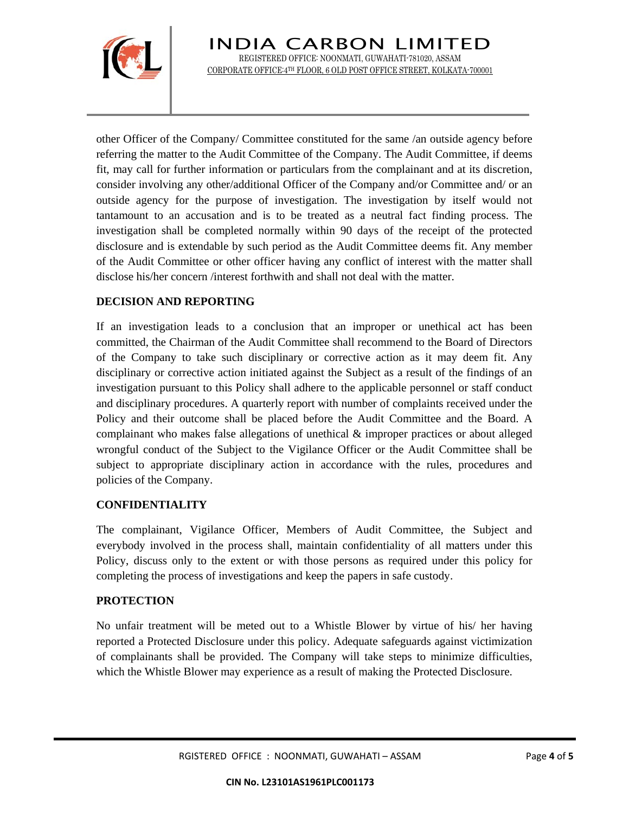

INDIA CARBON LIMITED REGISTERED OFFICE: NOONMATI, GUWAHATI-781020, ASSAM CORPORATE OFFICE:4TH FLOOR, 6 OLD POST OFFICE STREET, KOLKATA-700001

other Officer of the Company/ Committee constituted for the same /an outside agency before referring the matter to the Audit Committee of the Company. The Audit Committee, if deems fit, may call for further information or particulars from the complainant and at its discretion, consider involving any other/additional Officer of the Company and/or Committee and/ or an outside agency for the purpose of investigation. The investigation by itself would not tantamount to an accusation and is to be treated as a neutral fact finding process. The investigation shall be completed normally within 90 days of the receipt of the protected disclosure and is extendable by such period as the Audit Committee deems fit. Any member of the Audit Committee or other officer having any conflict of interest with the matter shall disclose his/her concern /interest forthwith and shall not deal with the matter.

# **DECISION AND REPORTING**

If an investigation leads to a conclusion that an improper or unethical act has been committed, the Chairman of the Audit Committee shall recommend to the Board of Directors of the Company to take such disciplinary or corrective action as it may deem fit. Any disciplinary or corrective action initiated against the Subject as a result of the findings of an investigation pursuant to this Policy shall adhere to the applicable personnel or staff conduct and disciplinary procedures. A quarterly report with number of complaints received under the Policy and their outcome shall be placed before the Audit Committee and the Board. A complainant who makes false allegations of unethical & improper practices or about alleged wrongful conduct of the Subject to the Vigilance Officer or the Audit Committee shall be subject to appropriate disciplinary action in accordance with the rules, procedures and policies of the Company.

# **CONFIDENTIALITY**

The complainant, Vigilance Officer, Members of Audit Committee, the Subject and everybody involved in the process shall, maintain confidentiality of all matters under this Policy, discuss only to the extent or with those persons as required under this policy for completing the process of investigations and keep the papers in safe custody.

#### **PROTECTION**

No unfair treatment will be meted out to a Whistle Blower by virtue of his/ her having reported a Protected Disclosure under this policy. Adequate safeguards against victimization of complainants shall be provided. The Company will take steps to minimize difficulties, which the Whistle Blower may experience as a result of making the Protected Disclosure.